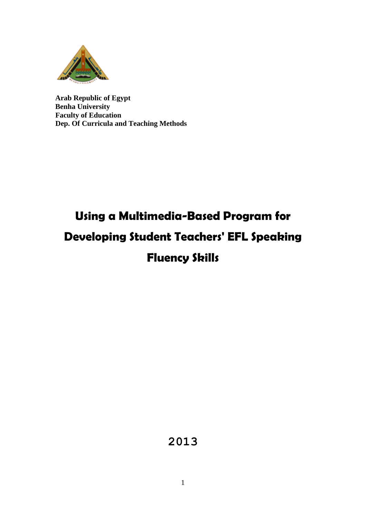

**Arab Republic of Egypt Benha University Faculty of Education Dep. Of Curricula and Teaching Methods**

# **Using a Multimedia-Based Program for Developing Student Teachers' EFL Speaking Fluency Skills**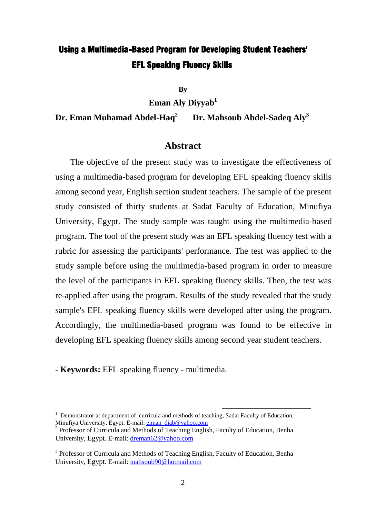## Using a Multimedia-Based Program for Developing Student Teachers' EFL Speaking Fluency Skills

**By**

**Eman Aly Diyyab 1**

**Dr. Eman Muhamad Abdel-Haq<sup>2</sup> Dr. Mahsoub Abdel-Sadeq Aly<sup>3</sup>**

#### **Abstract**

 The objective of the present study was to investigate the effectiveness of using a multimedia-based program for developing EFL speaking fluency skills among second year, English section student teachers. The sample of the present study consisted of thirty students at Sadat Faculty of Education, Minufiya University, Egypt. The study sample was taught using the multimedia-based program. The tool of the present study was an EFL speaking fluency test with a rubric for assessing the participants' performance. The test was applied to the study sample before using the multimedia-based program in order to measure the level of the participants in EFL speaking fluency skills. Then, the test was re-applied after using the program. Results of the study revealed that the study sample's EFL speaking fluency skills were developed after using the program. Accordingly, the multimedia-based program was found to be effective in developing EFL speaking fluency skills among second year student teachers.

**- Keywords:** EFL speaking fluency - multimedia.

1

 $1$  Demonstrator at department of curricula and methods of teaching, Sadat Faculty of Education, Minufiya University, Egypt. E-mail: [eiman\\_diab@yahoo.com](mailto:eiman_diab@yahoo.com)

<sup>&</sup>lt;sup>2</sup> Professor of Curricula and Methods of Teaching English, Faculty of Education, Benha University, Egypt. E-mail: [dreman62@yahoo.com](mailto:dreman62@yahoo.com) 

<sup>&</sup>lt;sup>3</sup> Professor of Curricula and Methods of Teaching English, Faculty of Education, Benha University, Egypt. E-mail: [mahsoub90@hotmail.com](mailto:mahsoub90@hotmail.com)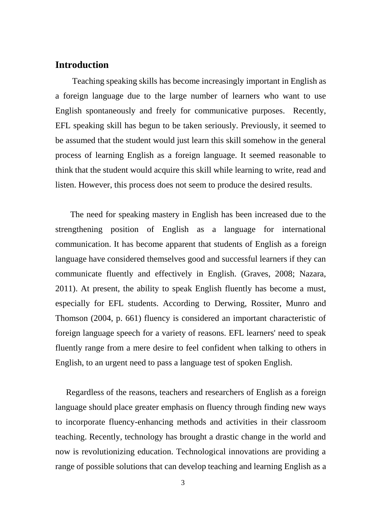#### **Introduction**

Teaching speaking skills has become increasingly important in English as a foreign language due to the large number of learners who want to use English spontaneously and freely for communicative purposes. Recently, EFL speaking skill has begun to be taken seriously. Previously, it seemed to be assumed that the student would just learn this skill somehow in the general process of learning English as a foreign language. It seemed reasonable to think that the student would acquire this skill while learning to write, read and listen. However, this process does not seem to produce the desired results.

 The need for speaking mastery in English has been increased due to the strengthening position of English as a language for international communication. It has become apparent that students of English as a foreign language have considered themselves good and successful learners if they can communicate fluently and effectively in English. (Graves, 2008; Nazara, 2011). At present, the ability to speak English fluently has become a must, especially for EFL students. According to Derwing, Rossiter, Munro and Thomson (2004, p. 661) fluency is considered an important characteristic of foreign language speech for a variety of reasons. EFL learners' need to speak fluently range from a mere desire to feel confident when talking to others in English, to an urgent need to pass a language test of spoken English.

 Regardless of the reasons, teachers and researchers of English as a foreign language should place greater emphasis on fluency through finding new ways to incorporate fluency-enhancing methods and activities in their classroom teaching. Recently, technology has brought a drastic change in the world and now is revolutionizing education. Technological innovations are providing a range of possible solutions that can develop teaching and learning English as a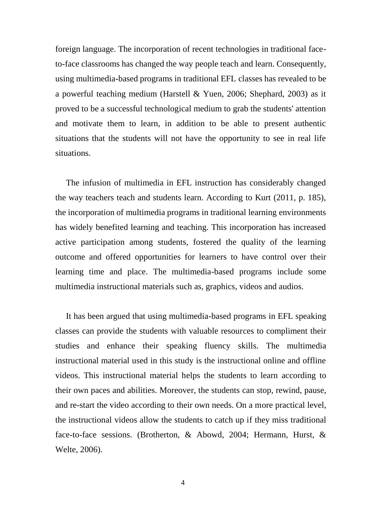foreign language. The incorporation of recent technologies in traditional faceto-face classrooms has changed the way people teach and learn. Consequently, using multimedia-based programs in traditional EFL classes has revealed to be a powerful teaching medium (Harstell & Yuen, 2006; Shephard, 2003) as it proved to be a successful technological medium to grab the students' attention and motivate them to learn, in addition to be able to present authentic situations that the students will not have the opportunity to see in real life situations.

 The infusion of multimedia in EFL instruction has considerably changed the way teachers teach and students learn. According to Kurt (2011, p. 185), the incorporation of multimedia programs in traditional learning environments has widely benefited learning and teaching. This incorporation has increased active participation among students, fostered the quality of the learning outcome and offered opportunities for learners to have control over their learning time and place. The multimedia-based programs include some multimedia instructional materials such as, graphics, videos and audios.

 It has been argued that using multimedia-based programs in EFL speaking classes can provide the students with valuable resources to compliment their studies and enhance their speaking fluency skills. The multimedia instructional material used in this study is the instructional online and offline videos. This instructional material helps the students to learn according to their own paces and abilities. Moreover, the students can stop, rewind, pause, and re-start the video according to their own needs. On a more practical level, the instructional videos allow the students to catch up if they miss traditional face-to-face sessions. (Brotherton, & Abowd, 2004; Hermann, Hurst, & Welte, 2006).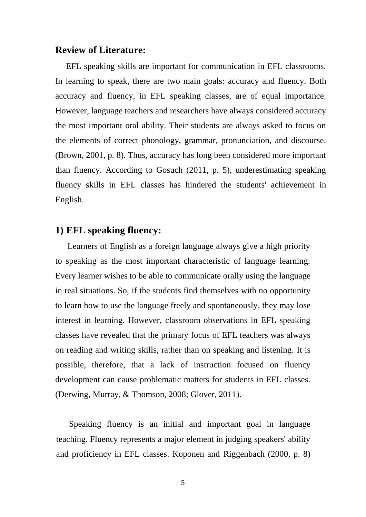#### **Review of Literature:**

 EFL speaking skills are important for communication in EFL classrooms. In learning to speak, there are two main goals: accuracy and fluency. Both accuracy and fluency, in EFL speaking classes, are of equal importance. However, language teachers and researchers have always considered accuracy the most important oral ability. Their students are always asked to focus on the elements of correct phonology, grammar, pronunciation, and discourse. (Brown, 2001, p. 8). Thus, accuracy has long been considered more important than fluency. According to Gosuch (2011, p. 5), underestimating speaking fluency skills in EFL classes has hindered the students' achievement in English.

#### **1) EFL speaking fluency:**

 Learners of English as a foreign language always give a high priority to speaking as the most important characteristic of language learning. Every learner wishes to be able to communicate orally using the language in real situations. So, if the students find themselves with no opportunity to learn how to use the language freely and spontaneously, they may lose interest in learning. However, classroom observations in EFL speaking classes have revealed that the primary focus of EFL teachers was always on reading and writing skills, rather than on speaking and listening. It is possible, therefore, that a lack of instruction focused on fluency development can cause problematic matters for students in EFL classes. (Derwing, Murray, & Thomson, 2008; Glover, 2011).

 Speaking fluency is an initial and important goal in language teaching. Fluency represents a major element in judging speakers' ability and proficiency in EFL classes. Koponen and Riggenbach (2000, p. 8)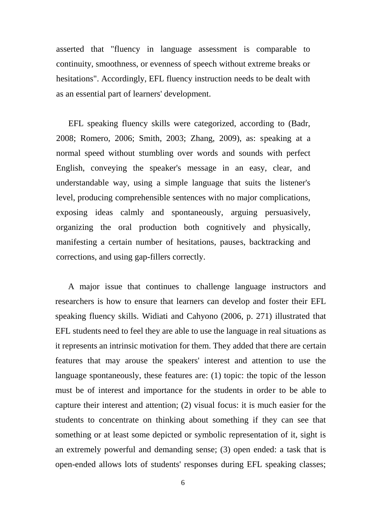asserted that "fluency in language assessment is comparable to continuity, smoothness, or evenness of speech without extreme breaks or hesitations". Accordingly, EFL fluency instruction needs to be dealt with as an essential part of learners' development.

EFL speaking fluency skills were categorized, according to (Badr, 2008; Romero, 2006; Smith, 2003; Zhang, 2009), as: speaking at a normal speed without stumbling over words and sounds with perfect English, conveying the speaker's message in an easy, clear, and understandable way, using a simple language that suits the listener's level, producing comprehensible sentences with no major complications, exposing ideas calmly and spontaneously, arguing persuasively, organizing the oral production both cognitively and physically, manifesting a certain number of hesitations, pauses, backtracking and corrections, and using gap-fillers correctly.

 A major issue that continues to challenge language instructors and researchers is how to ensure that learners can develop and foster their EFL speaking fluency skills. Widiati and Cahyono (2006, p. 271) illustrated that EFL students need to feel they are able to use the language in real situations as it represents an intrinsic motivation for them. They added that there are certain features that may arouse the speakers' interest and attention to use the language spontaneously, these features are: (1) topic: the topic of the lesson must be of interest and importance for the students in order to be able to capture their interest and attention; (2) visual focus: it is much easier for the students to concentrate on thinking about something if they can see that something or at least some depicted or symbolic representation of it, sight is an extremely powerful and demanding sense; (3) open ended: a task that is open-ended allows lots of students' responses during EFL speaking classes;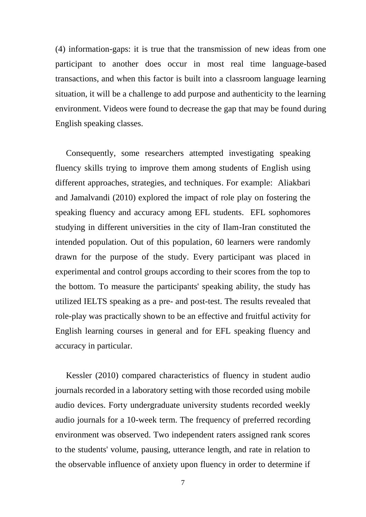(4) information-gaps: it is true that the transmission of new ideas from one participant to another does occur in most real time language-based transactions, and when this factor is built into a classroom language learning situation, it will be a challenge to add purpose and authenticity to the learning environment. Videos were found to decrease the gap that may be found during English speaking classes.

 Consequently, some researchers attempted investigating speaking fluency skills trying to improve them among students of English using different approaches, strategies, and techniques. For example: Aliakbari and Jamalvandi (2010) explored the impact of role play on fostering the speaking fluency and accuracy among EFL students. EFL sophomores studying in different universities in the city of Ilam-Iran constituted the intended population. Out of this population, 60 learners were randomly drawn for the purpose of the study. Every participant was placed in experimental and control groups according to their scores from the top to the bottom. To measure the participants' speaking ability, the study has utilized IELTS speaking as a pre- and post-test. The results revealed that role-play was practically shown to be an effective and fruitful activity for English learning courses in general and for EFL speaking fluency and accuracy in particular.

 Kessler (2010) compared characteristics of fluency in student audio journals recorded in a laboratory setting with those recorded using mobile audio devices. Forty undergraduate university students recorded weekly audio journals for a 10-week term. The frequency of preferred recording environment was observed. Two independent raters assigned rank scores to the students' volume, pausing, utterance length, and rate in relation to the observable influence of anxiety upon fluency in order to determine if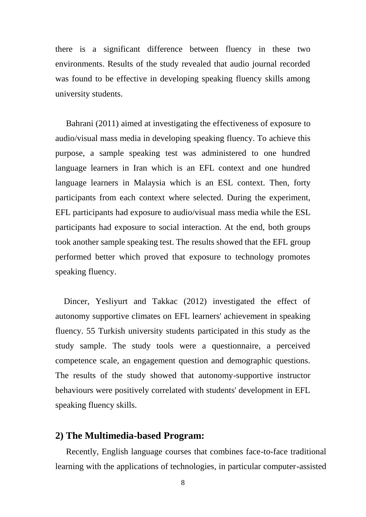there is a significant difference between fluency in these two environments. Results of the study revealed that audio journal recorded was found to be effective in developing speaking fluency skills among university students.

 Bahrani (2011) aimed at investigating the effectiveness of exposure to audio/visual mass media in developing speaking fluency. To achieve this purpose, a sample speaking test was administered to one hundred language learners in Iran which is an EFL context and one hundred language learners in Malaysia which is an ESL context. Then, forty participants from each context where selected. During the experiment, EFL participants had exposure to audio/visual mass media while the ESL participants had exposure to social interaction. At the end, both groups took another sample speaking test. The results showed that the EFL group performed better which proved that exposure to technology promotes speaking fluency.

 Dincer, Yesliyurt and Takkac (2012) investigated the effect of autonomy supportive climates on EFL learners' achievement in speaking fluency. 55 Turkish university students participated in this study as the study sample. The study tools were a questionnaire, a perceived competence scale, an engagement question and demographic questions. The results of the study showed that autonomy-supportive instructor behaviours were positively correlated with students' development in EFL speaking fluency skills.

#### **2) The Multimedia-based Program:**

 Recently, English language courses that combines face-to-face traditional learning with the applications of technologies, in particular computer-assisted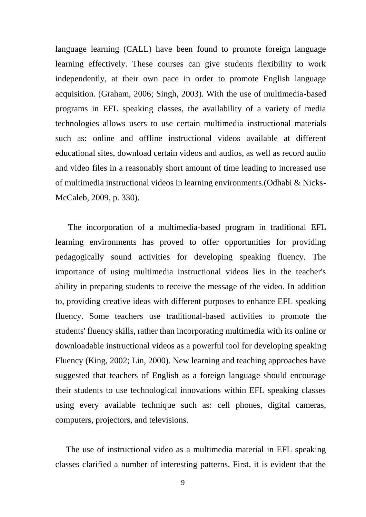language learning (CALL) have been found to promote foreign language learning effectively. These courses can give students flexibility to work independently, at their own pace in order to promote English language acquisition. (Graham, 2006; Singh, 2003). With the use of multimedia-based programs in EFL speaking classes, the availability of a variety of media technologies allows users to use certain multimedia instructional materials such as: online and offline instructional videos available at different educational sites, download certain videos and audios, as well as record audio and video files in a reasonably short amount of time leading to increased use of multimedia instructional videos in learning environments.(Odhabi & Nicks-McCaleb, 2009, p. 330).

 The incorporation of a multimedia-based program in traditional EFL learning environments has proved to offer opportunities for providing pedagogically sound activities for developing speaking fluency. The importance of using multimedia instructional videos lies in the teacher's ability in preparing students to receive the message of the video. In addition to, providing creative ideas with different purposes to enhance EFL speaking fluency. Some teachers use traditional-based activities to promote the students' fluency skills, rather than incorporating multimedia with its online or downloadable instructional videos as a powerful tool for developing speaking Fluency (King, 2002; Lin, 2000). New learning and teaching approaches have suggested that teachers of English as a foreign language should encourage their students to use technological innovations within EFL speaking classes using every available technique such as: cell phones, digital cameras, computers, projectors, and televisions.

 The use of instructional video as a multimedia material in EFL speaking classes clarified a number of interesting patterns. First, it is evident that the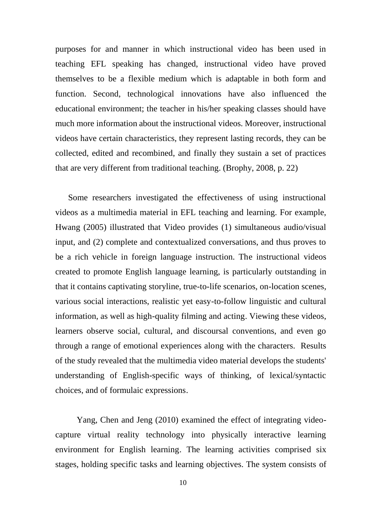purposes for and manner in which instructional video has been used in teaching EFL speaking has changed, instructional video have proved themselves to be a flexible medium which is adaptable in both form and function. Second, technological innovations have also influenced the educational environment; the teacher in his/her speaking classes should have much more information about the instructional videos. Moreover, instructional videos have certain characteristics, they represent lasting records, they can be collected, edited and recombined, and finally they sustain a set of practices that are very different from traditional teaching. (Brophy, 2008, p. 22)

 Some researchers investigated the effectiveness of using instructional videos as a multimedia material in EFL teaching and learning. For example, Hwang (2005) illustrated that Video provides (1) simultaneous audio/visual input, and (2) complete and contextualized conversations, and thus proves to be a rich vehicle in foreign language instruction. The instructional videos created to promote English language learning, is particularly outstanding in that it contains captivating storyline, true-to-life scenarios, on-location scenes, various social interactions, realistic yet easy-to-follow linguistic and cultural information, as well as high-quality filming and acting. Viewing these videos, learners observe social, cultural, and discoursal conventions, and even go through a range of emotional experiences along with the characters. Results of the study revealed that the multimedia video material develops the students' understanding of English-specific ways of thinking, of lexical/syntactic choices, and of formulaic expressions.

 Yang, Chen and Jeng (2010) examined the effect of integrating videocapture virtual reality technology into physically interactive learning environment for English learning. The learning activities comprised six stages, holding specific tasks and learning objectives. The system consists of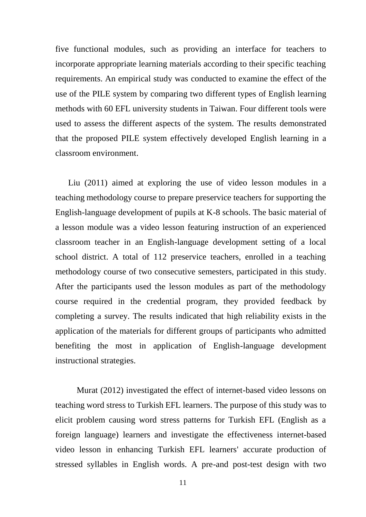five functional modules, such as providing an interface for teachers to incorporate appropriate learning materials according to their specific teaching requirements. An empirical study was conducted to examine the effect of the use of the PILE system by comparing two different types of English learning methods with 60 EFL university students in Taiwan. Four different tools were used to assess the different aspects of the system. The results demonstrated that the proposed PILE system effectively developed English learning in a classroom environment.

 Liu (2011) aimed at exploring the use of video lesson modules in a teaching methodology course to prepare preservice teachers for supporting the English-language development of pupils at K-8 schools. The basic material of a lesson module was a video lesson featuring instruction of an experienced classroom teacher in an English-language development setting of a local school district. A total of 112 preservice teachers, enrolled in a teaching methodology course of two consecutive semesters, participated in this study. After the participants used the lesson modules as part of the methodology course required in the credential program, they provided feedback by completing a survey. The results indicated that high reliability exists in the application of the materials for different groups of participants who admitted benefiting the most in application of English-language development instructional strategies.

 Murat (2012) investigated the effect of internet-based video lessons on teaching word stress to Turkish EFL learners. The purpose of this study was to elicit problem causing word stress patterns for Turkish EFL (English as a foreign language) learners and investigate the effectiveness internet-based video lesson in enhancing Turkish EFL learners' accurate production of stressed syllables in English words. A pre-and post-test design with two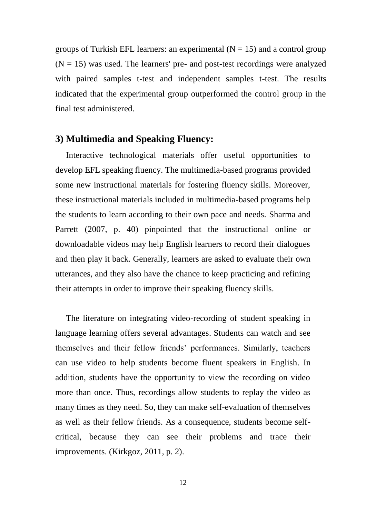groups of Turkish EFL learners: an experimental  $(N = 15)$  and a control group  $(N = 15)$  was used. The learners' pre- and post-test recordings were analyzed with paired samples t-test and independent samples t-test. The results indicated that the experimental group outperformed the control group in the final test administered.

#### **3) Multimedia and Speaking Fluency:**

 Interactive technological materials offer useful opportunities to develop EFL speaking fluency. The multimedia-based programs provided some new instructional materials for fostering fluency skills. Moreover, these instructional materials included in multimedia-based programs help the students to learn according to their own pace and needs. Sharma and Parrett (2007, p. 40) pinpointed that the instructional online or downloadable videos may help English learners to record their dialogues and then play it back. Generally, learners are asked to evaluate their own utterances, and they also have the chance to keep practicing and refining their attempts in order to improve their speaking fluency skills.

 The literature on integrating video-recording of student speaking in language learning offers several advantages. Students can watch and see themselves and their fellow friends' performances. Similarly, teachers can use video to help students become fluent speakers in English. In addition, students have the opportunity to view the recording on video more than once. Thus, recordings allow students to replay the video as many times as they need. So, they can make self-evaluation of themselves as well as their fellow friends. As a consequence, students become selfcritical, because they can see their problems and trace their improvements. (Kirkgoz, 2011, p. 2).

12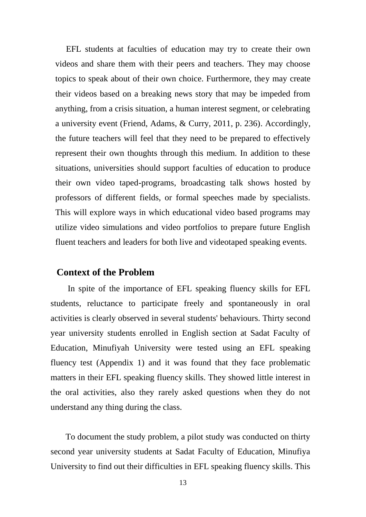EFL students at faculties of education may try to create their own videos and share them with their peers and teachers. They may choose topics to speak about of their own choice. Furthermore, they may create their videos based on a breaking news story that may be impeded from anything, from a crisis situation, a human interest segment, or celebrating a university event (Friend, Adams, & Curry, 2011, p. 236). Accordingly, the future teachers will feel that they need to be prepared to effectively represent their own thoughts through this medium. In addition to these situations, universities should support faculties of education to produce their own video taped-programs, broadcasting talk shows hosted by professors of different fields, or formal speeches made by specialists. This will explore ways in which educational video based programs may utilize video simulations and video portfolios to prepare future English fluent teachers and leaders for both live and videotaped speaking events.

#### **Context of the Problem**

 In spite of the importance of EFL speaking fluency skills for EFL students, reluctance to participate freely and spontaneously in oral activities is clearly observed in several students' behaviours. Thirty second year university students enrolled in English section at Sadat Faculty of Education, Minufiyah University were tested using an EFL speaking fluency test (Appendix 1) and it was found that they face problematic matters in their EFL speaking fluency skills. They showed little interest in the oral activities, also they rarely asked questions when they do not understand any thing during the class.

 To document the study problem, a pilot study was conducted on thirty second year university students at Sadat Faculty of Education, Minufiya University to find out their difficulties in EFL speaking fluency skills. This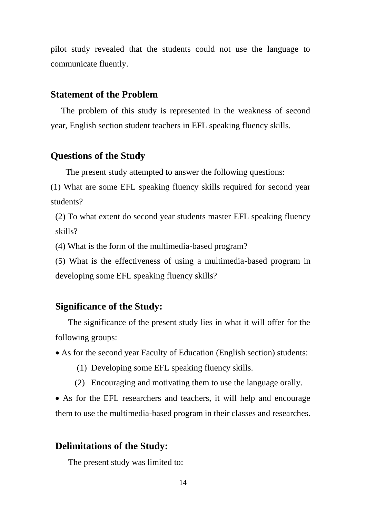pilot study revealed that the students could not use the language to communicate fluently.

#### **Statement of the Problem**

 The problem of this study is represented in the weakness of second year, English section student teachers in EFL speaking fluency skills.

#### **Questions of the Study**

The present study attempted to answer the following questions:

(1) What are some EFL speaking fluency skills required for second year students?

(2) To what extent do second year students master EFL speaking fluency skills?

(4) What is the form of the multimedia-based program?

(5) What is the effectiveness of using a multimedia-based program in developing some EFL speaking fluency skills?

#### **Significance of the Study:**

 The significance of the present study lies in what it will offer for the following groups:

As for the second year Faculty of Education (English section) students:

- (1) Developing some EFL speaking fluency skills.
- (2) Encouraging and motivating them to use the language orally.

 As for the EFL researchers and teachers, it will help and encourage them to use the multimedia-based program in their classes and researches.

### **Delimitations of the Study:**

The present study was limited to: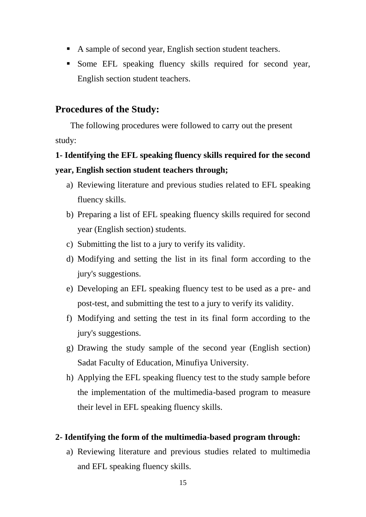- A sample of second year, English section student teachers.
- Some EFL speaking fluency skills required for second year, English section student teachers.

#### **Procedures of the Study:**

 The following procedures were followed to carry out the present study:

### **1- Identifying the EFL speaking fluency skills required for the second year, English section student teachers through;**

- a) Reviewing literature and previous studies related to EFL speaking fluency skills.
- b) Preparing a list of EFL speaking fluency skills required for second year (English section) students.
- c) Submitting the list to a jury to verify its validity.
- d) Modifying and setting the list in its final form according to the jury's suggestions.
- e) Developing an EFL speaking fluency test to be used as a pre- and post-test, and submitting the test to a jury to verify its validity.
- f) Modifying and setting the test in its final form according to the jury's suggestions.
- g) Drawing the study sample of the second year (English section) Sadat Faculty of Education, Minufiya University.
- h) Applying the EFL speaking fluency test to the study sample before the implementation of the multimedia-based program to measure their level in EFL speaking fluency skills.

#### **2- Identifying the form of the multimedia-based program through:**

a) Reviewing literature and previous studies related to multimedia and EFL speaking fluency skills.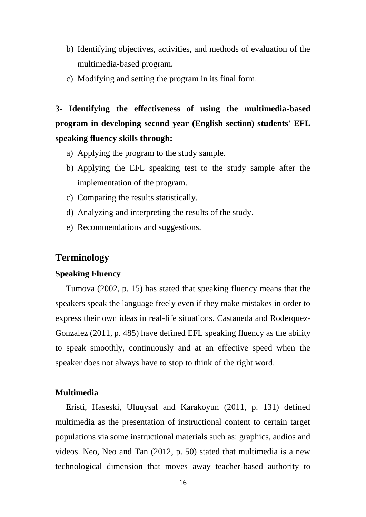- b) Identifying objectives, activities, and methods of evaluation of the multimedia-based program.
- c) Modifying and setting the program in its final form.

**3- Identifying the effectiveness of using the multimedia-based program in developing second year (English section) students' EFL speaking fluency skills through:**

- a) Applying the program to the study sample.
- b) Applying the EFL speaking test to the study sample after the implementation of the program.
- c) Comparing the results statistically.
- d) Analyzing and interpreting the results of the study.
- e) Recommendations and suggestions.

#### **Terminology**

#### **Speaking Fluency**

 Tumova (2002, p. 15) has stated that speaking fluency means that the speakers speak the language freely even if they make mistakes in order to express their own ideas in real-life situations. Castaneda and Roderquez-Gonzalez (2011, p. 485) have defined EFL speaking fluency as the ability to speak smoothly, continuously and at an effective speed when the speaker does not always have to stop to think of the right word.

#### **Multimedia**

 Eristi, Haseski, Uluuysal and Karakoyun (2011, p. 131) defined multimedia as the presentation of instructional content to certain target populations via some instructional materials such as: graphics, audios and videos. Neo, Neo and Tan (2012, p. 50) stated that multimedia is a new technological dimension that moves away teacher-based authority to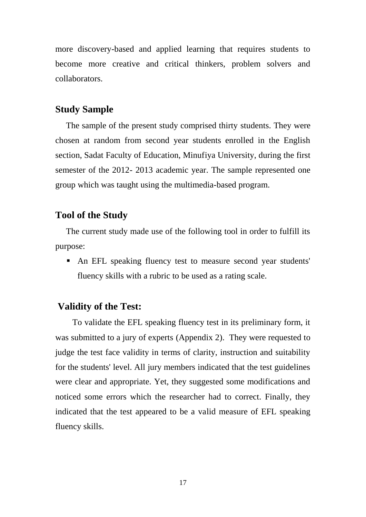more discovery-based and applied learning that requires students to become more creative and critical thinkers, problem solvers and collaborators.

#### **Study Sample**

 The sample of the present study comprised thirty students. They were chosen at random from second year students enrolled in the English section, Sadat Faculty of Education, Minufiya University, during the first semester of the 2012- 2013 academic year. The sample represented one group which was taught using the multimedia-based program.

#### **Tool of the Study**

 The current study made use of the following tool in order to fulfill its purpose:

 An EFL speaking fluency test to measure second year students' fluency skills with a rubric to be used as a rating scale.

#### **Validity of the Test:**

 To validate the EFL speaking fluency test in its preliminary form, it was submitted to a jury of experts (Appendix 2). They were requested to judge the test face validity in terms of clarity, instruction and suitability for the students' level. All jury members indicated that the test guidelines were clear and appropriate. Yet, they suggested some modifications and noticed some errors which the researcher had to correct. Finally, they indicated that the test appeared to be a valid measure of EFL speaking fluency skills.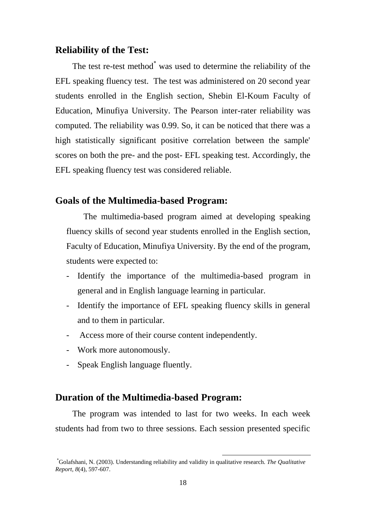#### **Reliability of the Test:**

The test re-test method<sup>\*</sup> was used to determine the reliability of the EFL speaking fluency test. The test was administered on 20 second year students enrolled in the English section, Shebin El-Koum Faculty of Education, Minufiya University. The Pearson inter-rater reliability was computed. The reliability was 0.99. So, it can be noticed that there was a high statistically significant positive correlation between the sample' scores on both the pre- and the post- EFL speaking test. Accordingly, the EFL speaking fluency test was considered reliable.

#### **Goals of the Multimedia-based Program:**

 The multimedia-based program aimed at developing speaking fluency skills of second year students enrolled in the English section, Faculty of Education, Minufiya University. By the end of the program, students were expected to:

- Identify the importance of the multimedia-based program in general and in English language learning in particular.
- Identify the importance of EFL speaking fluency skills in general and to them in particular.
- Access more of their course content independently.
- Work more autonomously.
- Speak English language fluently.

#### **Duration of the Multimedia-based Program:**

 The program was intended to last for two weeks. In each week students had from two to three sessions. Each session presented specific

<u>.</u>

<sup>\*</sup>Golafshani, N. (2003). Understanding reliability and validity in qualitative research. *The Qualitative Report, 8*(4), 597-607.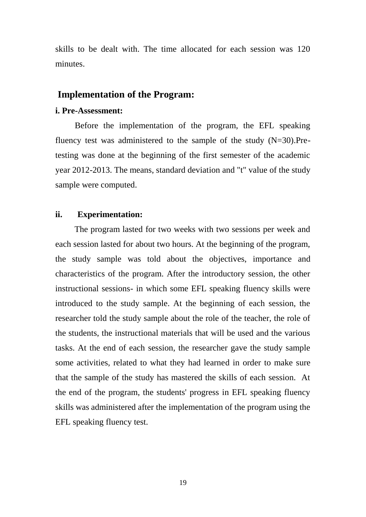skills to be dealt with. The time allocated for each session was 120 minutes.

#### **Implementation of the Program:**

#### **i. Pre-Assessment:**

Before the implementation of the program, the EFL speaking fluency test was administered to the sample of the study (N=30).Pretesting was done at the beginning of the first semester of the academic year 2012-2013. The means, standard deviation and "t" value of the study sample were computed.

#### **ii. Experimentation:**

 The program lasted for two weeks with two sessions per week and each session lasted for about two hours. At the beginning of the program, the study sample was told about the objectives, importance and characteristics of the program. After the introductory session, the other instructional sessions- in which some EFL speaking fluency skills were introduced to the study sample. At the beginning of each session, the researcher told the study sample about the role of the teacher, the role of the students, the instructional materials that will be used and the various tasks. At the end of each session, the researcher gave the study sample some activities, related to what they had learned in order to make sure that the sample of the study has mastered the skills of each session. At the end of the program, the students' progress in EFL speaking fluency skills was administered after the implementation of the program using the EFL speaking fluency test.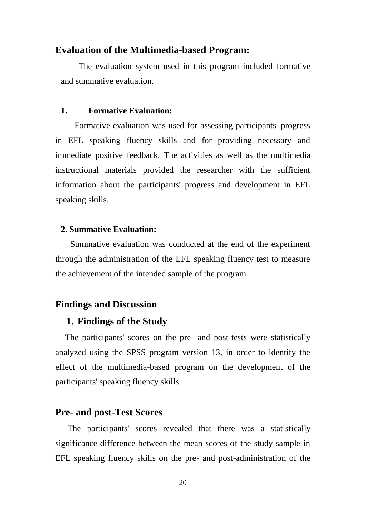#### **Evaluation of the Multimedia-based Program:**

The evaluation system used in this program included formative and summative evaluation.

#### **1. Formative Evaluation:**

 Formative evaluation was used for assessing participants' progress in EFL speaking fluency skills and for providing necessary and immediate positive feedback. The activities as well as the multimedia instructional materials provided the researcher with the sufficient information about the participants' progress and development in EFL speaking skills.

#### **2. Summative Evaluation:**

 Summative evaluation was conducted at the end of the experiment through the administration of the EFL speaking fluency test to measure the achievement of the intended sample of the program.

#### **Findings and Discussion**

#### **1. Findings of the Study**

The participants' scores on the pre- and post-tests were statistically analyzed using the SPSS program version 13, in order to identify the effect of the multimedia-based program on the development of the participants' speaking fluency skills.

#### **Pre- and post-Test Scores**

The participants' scores revealed that there was a statistically significance difference between the mean scores of the study sample in EFL speaking fluency skills on the pre- and post-administration of the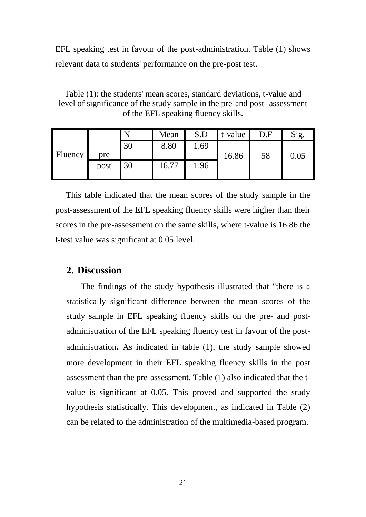EFL speaking test in favour of the post-administration. Table (1) shows relevant data to students' performance on the pre-post test.

Table (1): the students' mean scores, standard deviations, t-value and level of significance of the study sample in the pre-and post- assessment of the EFL speaking fluency skills.

|                |      |    | Mean  | S.D  | t-value | D.F | Sig.     |
|----------------|------|----|-------|------|---------|-----|----------|
|                |      | 30 | 8.80  | 1.69 |         |     |          |
| <b>Fluency</b> | pre  |    |       |      | 16.86   | 58  | $0.05\,$ |
|                | post | 30 | 16.77 | 1.96 |         |     |          |

This table indicated that the mean scores of the study sample in the post-assessment of the EFL speaking fluency skills were higher than their scores in the pre-assessment on the same skills, where t-value is 16.86 the t-test value was significant at 0.05 level.

#### **2. Discussion**

The findings of the study hypothesis illustrated that "there is a statistically significant difference between the mean scores of the study sample in EFL speaking fluency skills on the pre- and postadministration of the EFL speaking fluency test in favour of the postadministration**.** As indicated in table (1), the study sample showed more development in their EFL speaking fluency skills in the post assessment than the pre-assessment. Table (1) also indicated that the tvalue is significant at 0.05. This proved and supported the study hypothesis statistically. This development, as indicated in Table (2) can be related to the administration of the multimedia-based program.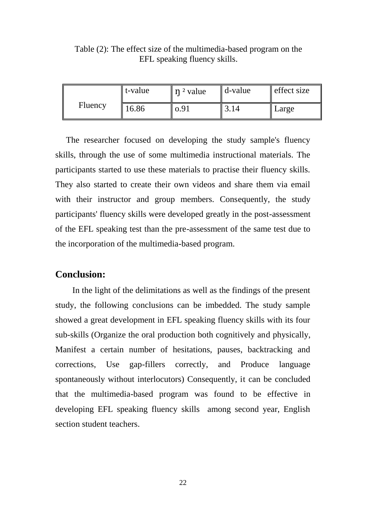|         | t-value | $\eta$ <sup>2</sup> value | d-value | effect size |
|---------|---------|---------------------------|---------|-------------|
| Fluency | 16.86   | 0.91                      |         | Large       |

Table (2): The effect size of the multimedia-based program on the EFL speaking fluency skills.

 The researcher focused on developing the study sample's fluency skills, through the use of some multimedia instructional materials. The participants started to use these materials to practise their fluency skills. They also started to create their own videos and share them via email with their instructor and group members. Consequently, the study participants' fluency skills were developed greatly in the post-assessment of the EFL speaking test than the pre-assessment of the same test due to the incorporation of the multimedia-based program.

#### **Conclusion:**

 In the light of the delimitations as well as the findings of the present study, the following conclusions can be imbedded. The study sample showed a great development in EFL speaking fluency skills with its four sub-skills (Organize the oral production both cognitively and physically, Manifest a certain number of hesitations, pauses, backtracking and corrections, Use gap-fillers correctly, and Produce language spontaneously without interlocutors) Consequently, it can be concluded that the multimedia-based program was found to be effective in developing EFL speaking fluency skills among second year, English section student teachers.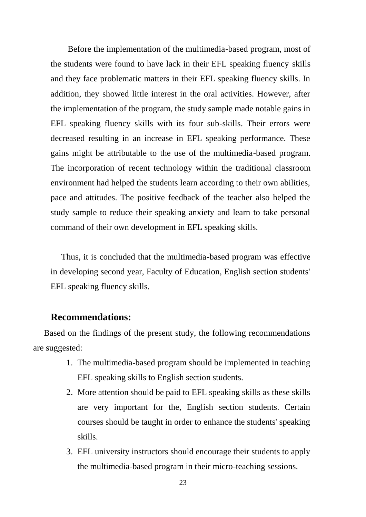Before the implementation of the multimedia-based program, most of the students were found to have lack in their EFL speaking fluency skills and they face problematic matters in their EFL speaking fluency skills. In addition, they showed little interest in the oral activities. However, after the implementation of the program, the study sample made notable gains in EFL speaking fluency skills with its four sub-skills. Their errors were decreased resulting in an increase in EFL speaking performance. These gains might be attributable to the use of the multimedia-based program. The incorporation of recent technology within the traditional classroom environment had helped the students learn according to their own abilities, pace and attitudes. The positive feedback of the teacher also helped the study sample to reduce their speaking anxiety and learn to take personal command of their own development in EFL speaking skills.

 Thus, it is concluded that the multimedia-based program was effective in developing second year, Faculty of Education, English section students' EFL speaking fluency skills.

#### **Recommendations:**

 Based on the findings of the present study, the following recommendations are suggested:

- 1. The multimedia-based program should be implemented in teaching EFL speaking skills to English section students.
- 2. More attention should be paid to EFL speaking skills as these skills are very important for the, English section students. Certain courses should be taught in order to enhance the students' speaking skills.
- 3. EFL university instructors should encourage their students to apply the multimedia-based program in their micro-teaching sessions.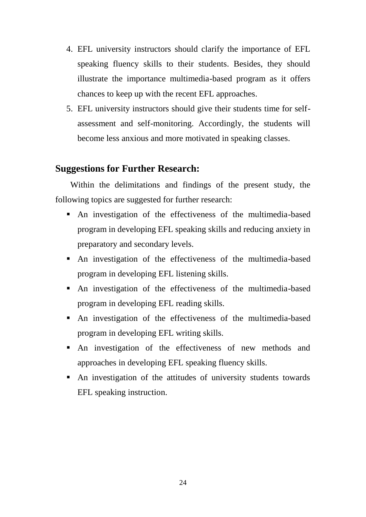- 4. EFL university instructors should clarify the importance of EFL speaking fluency skills to their students. Besides, they should illustrate the importance multimedia-based program as it offers chances to keep up with the recent EFL approaches.
- 5. EFL university instructors should give their students time for selfassessment and self-monitoring. Accordingly, the students will become less anxious and more motivated in speaking classes.

#### **Suggestions for Further Research:**

 Within the delimitations and findings of the present study, the following topics are suggested for further research:

- An investigation of the effectiveness of the multimedia-based program in developing EFL speaking skills and reducing anxiety in preparatory and secondary levels.
- An investigation of the effectiveness of the multimedia-based program in developing EFL listening skills.
- An investigation of the effectiveness of the multimedia-based program in developing EFL reading skills.
- An investigation of the effectiveness of the multimedia-based program in developing EFL writing skills.
- An investigation of the effectiveness of new methods and approaches in developing EFL speaking fluency skills.
- An investigation of the attitudes of university students towards EFL speaking instruction.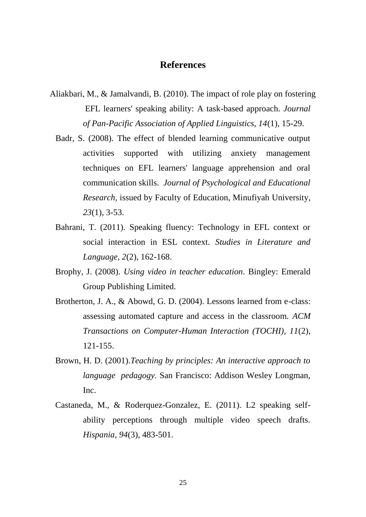#### **References**

- Aliakbari, M., & Jamalvandi, B. (2010). The impact of role play on fostering EFL learners' speaking ability: A task-based approach. *Journal of Pan-Pacific Association of Applied Linguistics, 14*(1), 15-29.
	- Badr, S. (2008). The effect of blended learning communicative output activities supported with utilizing anxiety management techniques on EFL learners' language apprehension and oral communication skills. *Journal of Psychological and Educational Research,* issued by Faculty of Education, Minufiyah University*, 23*(1), 3-53.
	- Bahrani, T. (2011). Speaking fluency: Technology in EFL context or social interaction in ESL context. *Studies in Literature and Language, 2*(2), 162-168.
	- Brophy, J. (2008). *Using video in teacher education.* Bingley: Emerald Group Publishing Limited.
	- Brotherton, J. A., & Abowd, G. D. (2004). Lessons learned from e-class: assessing automated capture and access in the classroom. *ACM Transactions on Computer-Human Interaction (TOCHI), 11*(2), 121-155.
	- Brown, H. D. (2001).*Teaching by principles: An interactive approach to language pedagogy.* San Francisco: Addison Wesley Longman, Inc.
	- Castaneda, M., & Roderquez-Gonzalez, E. (2011). L2 speaking selfability perceptions through multiple video speech drafts. *Hispania*, *94*(3), 483-501.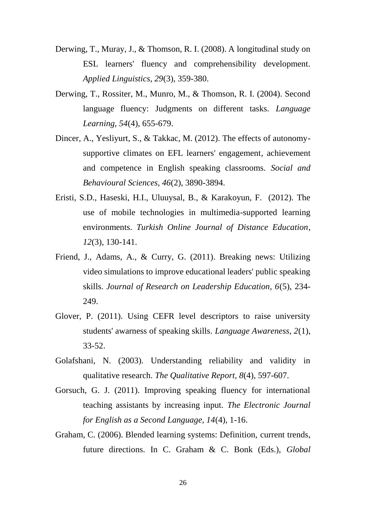- Derwing, T., Muray, J., & Thomson, R. I. (2008). A longitudinal study on ESL learners' fluency and comprehensibility development. *Applied Linguistics, 29*(3), 359-380.
- Derwing, T., Rossiter, M., Munro, M., & Thomson, R. I. (2004). Second language fluency: Judgments on different tasks. *Language Learning, 54*(4), 655-679.
- Dincer, A., Yesliyurt, S., & Takkac, M. (2012). The effects of autonomysupportive climates on EFL learners' engagement, achievement and competence in English speaking classrooms. *Social and Behavioural Sciences, 46*(2), 3890-3894.
- Eristi, S.D., Haseski, H.I., Uluuysal, B., & Karakoyun, F. (2012). The use of mobile technologies in multimedia-supported learning environments. *Turkish Online Journal of Distance Education*, *12*(3), 130-141.
- Friend, J., Adams, A., & Curry, G. (2011). Breaking news: Utilizing video simulations to improve educational leaders' public speaking skills. *Journal of Research on Leadership Education, 6*(5), 234- 249.
- Glover, P. (2011). Using CEFR level descriptors to raise university students' awarness of speaking skills. *Language Awareness, 2*(1), 33-52.
- Golafshani, N. (2003). Understanding reliability and validity in qualitative research. *The Qualitative Report, 8*(4), 597-607.
- Gorsuch, G. J. (2011). Improving speaking fluency for international teaching assistants by increasing input. *The Electronic Journal for English as a Second Language, 14*(4), 1-16.
- Graham, C. (2006). Blended learning systems: Definition, current trends, future directions. In C. Graham & C. Bonk (Eds.), *Global*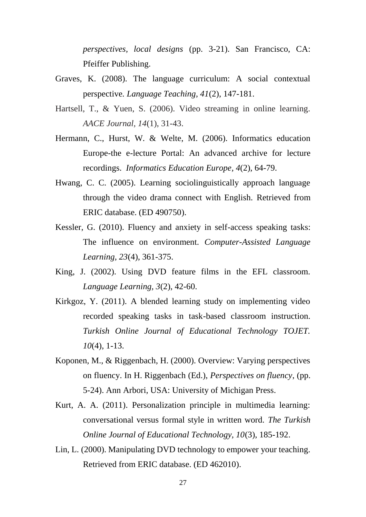*perspectives, local designs* (pp. 3-21). San Francisco, CA: Pfeiffer Publishing.

- Graves, K. (2008). The language curriculum: A social contextual perspective*. Language Teaching, 41*(2), 147-181.
- Hartsell, T., & Yuen, S. (2006). Video streaming in online learning. *AACE Journal, 14*(1), 31-43.
- Hermann, C., Hurst, W. & Welte, M. (2006). Informatics education Europe-the e-lecture Portal: An advanced archive for lecture recordings. *Informatics Education Europe, 4*(2), 64-79.
- Hwang, C. C. (2005). Learning sociolinguistically approach language through the video drama connect with English. Retrieved from ERIC database. (ED 490750).
- Kessler, G. (2010). Fluency and anxiety in self-access speaking tasks: The influence on environment. *Computer-Assisted Language Learning, 23*(4), 361-375.
- King, J. (2002). Using DVD feature films in the EFL classroom. *Language Learning, 3*(2), 42-60.
- Kirkgoz, Y. (2011). A blended learning study on implementing video recorded speaking tasks in task-based classroom instruction. *Turkish Online Journal of Educational Technology TOJET. 10*(4), 1-13.
- Koponen, M., & Riggenbach, H. (2000). Overview: Varying perspectives on fluency. In H. Riggenbach (Ed.), *Perspectives on fluency*, (pp. 5-24). Ann Arbori, USA: University of Michigan Press.
- Kurt, A. A. (2011). Personalization principle in multimedia learning: conversational versus formal style in written word. *The Turkish Online Journal of Educational Technology, 10*(3), 185-192.
- Lin, L. (2000). Manipulating DVD technology to empower your teaching. Retrieved from ERIC database. (ED 462010).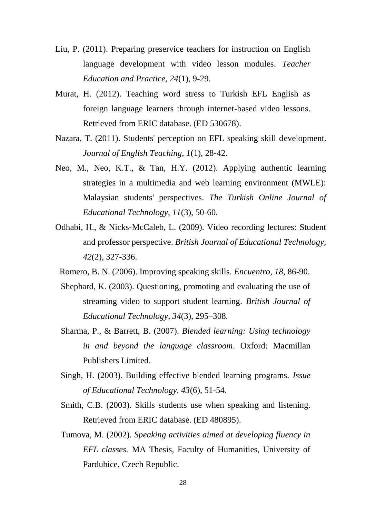- Liu, P. (2011). Preparing preservice teachers for instruction on English language development with video lesson modules. *Teacher Education and Practice, 24*(1), 9-29.
- Murat, H. (2012). Teaching word stress to Turkish EFL English as foreign language learners through internet-based video lessons. Retrieved from ERIC database. (ED 530678).
- Nazara, T. (2011). Students' perception on EFL speaking skill development. *Journal of English Teaching, 1*(1), 28-42.
- Neo, M., Neo, K.T., & Tan, H.Y. (2012). Applying authentic learning strategies in a multimedia and web learning environment (MWLE): Malaysian students' perspectives. *The Turkish Online Journal of Educational Technology, 11*(3), 50-60.
- Odhabi, H., & Nicks-McCaleb, L. (2009). Video recording lectures: Student and professor perspective. *British Journal of Educational Technology, 42*(2), 327-336.
	- Romero, B. N. (2006). Improving speaking skills. *Encuentro, 18,* 86-90.
	- Shephard, K. (2003). Questioning, promoting and evaluating the use of streaming video to support student learning. *British Journal of Educational Technology*, *34*(3), 295–308.
	- Sharma, P., & Barrett, B. (2007). *Blended learning: Using technology in and beyond the language classroom*. Oxford: Macmillan Publishers Limited.
	- Singh, H. (2003). Building effective blended learning programs. *Issue of Educational Technology, 43*(6), 51-54.
	- Smith, C.B. (2003). Skills students use when speaking and listening. Retrieved from ERIC database. (ED 480895).
	- Tumova, M. (2002). *Speaking activities aimed at developing fluency in EFL classes.* MA Thesis, Faculty of Humanities, University of Pardubice, Czech Republic.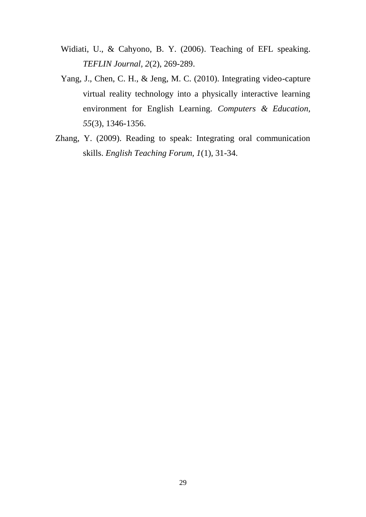- Widiati, U., & Cahyono, B. Y. (2006). Teaching of EFL speaking. *TEFLIN Journal, 2*(2), 269-289.
- Yang, J., Chen, C. H., & Jeng, M. C. (2010). Integrating video-capture virtual reality technology into a physically interactive learning environment for English Learning. *Computers & Education, 55*(3), 1346-1356.
- Zhang, Y. (2009). Reading to speak: Integrating oral communication skills. *English Teaching Forum, 1*(1), 31-34.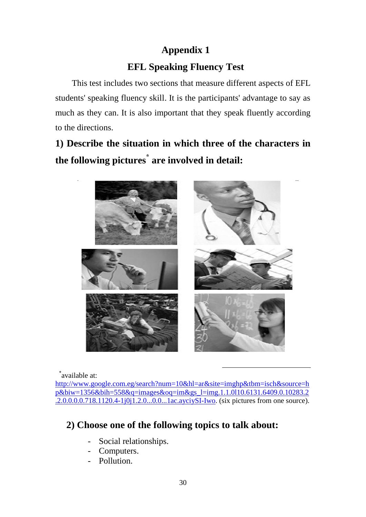## **Appendix 1**

## **EFL Speaking Fluency Test**

 This test includes two sections that measure different aspects of EFL students' speaking fluency skill. It is the participants' advantage to say as much as they can. It is also important that they speak fluently according to the directions.

## **1) Describe the situation in which three of the characters in the following pictures\* are involved in detail:**



\* available at:

[http://www.google.com.eg/search?num=10&hl=ar&site=imghp&tbm=isch&source=h](http://www.google.com.eg/search?num=10&hl=ar&site=imghp&tbm=isch&source=hp&biw=1356&bih=558&q=images&oq=im&gs_l=img.1.1.0l10.6131.6409.0.10283.2.2.0.0.0.0.718.1120.4-1j0j1.2.0...0.0...1ac.ayciySI-Iwo) [p&biw=1356&bih=558&q=images&oq=im&gs\\_l=img.1.1.0l10.6131.6409.0.10283.2](http://www.google.com.eg/search?num=10&hl=ar&site=imghp&tbm=isch&source=hp&biw=1356&bih=558&q=images&oq=im&gs_l=img.1.1.0l10.6131.6409.0.10283.2.2.0.0.0.0.718.1120.4-1j0j1.2.0...0.0...1ac.ayciySI-Iwo) [.2.0.0.0.0.718.1120.4-1j0j1.2.0...0.0...1ac.ayciySI-Iwo.](http://www.google.com.eg/search?num=10&hl=ar&site=imghp&tbm=isch&source=hp&biw=1356&bih=558&q=images&oq=im&gs_l=img.1.1.0l10.6131.6409.0.10283.2.2.0.0.0.0.718.1120.4-1j0j1.2.0...0.0...1ac.ayciySI-Iwo) (six pictures from one source).

1

### **2) Choose one of the following topics to talk about:**

- Social relationships.
- Computers.
- Pollution